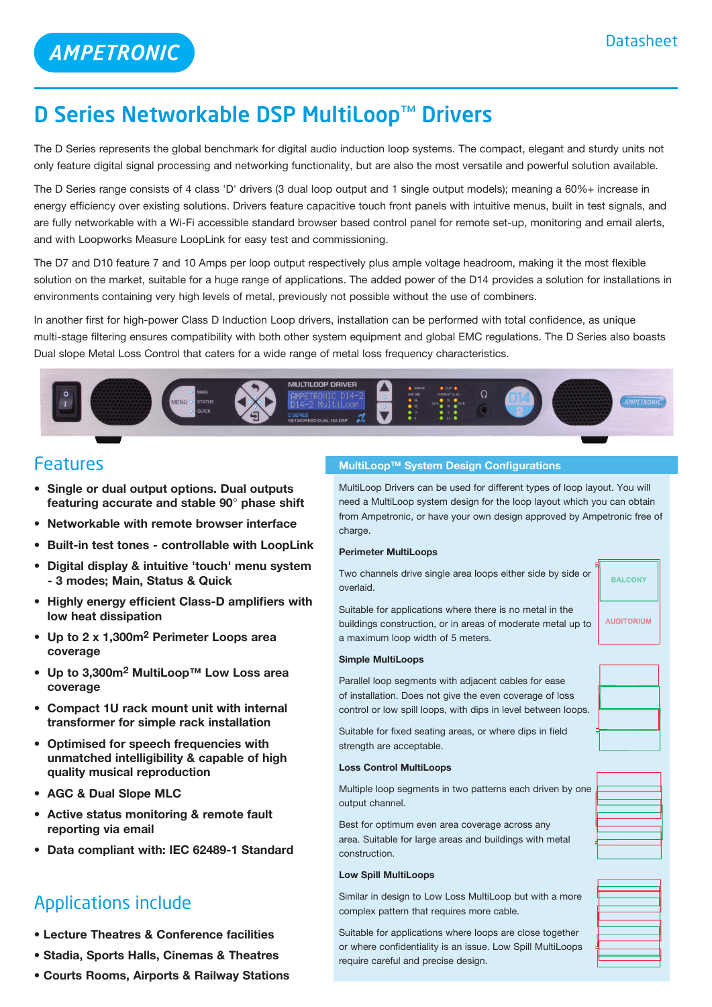# D Series Networkable DSP MultiLoop™ Drivers

The D Series represents the global benchmark for digital audio induction loop systems. The compact, elegant and sturdy units not only feature digital signal processing and networking functionality, but are also the most versatile and powerful solution available.

The D Series range consists of 4 class 'D' drivers (3 dual loop output and 1 single output models); meaning a 60%+ increase in energy efficiency over existing solutions. Drivers feature capacitive touch front panels with intuitive menus, built in test signals, and are fully networkable with a Wi-Fi accessible standard browser based control panel for remote set-up, monitoring and email alerts, and with Loopworks Measure LoopLink for easy test and commissioning.

The D7 and D10 feature 7 and 10 Amps per loop output respectively plus ample voltage headroom, making it the most flexible solution on the market, suitable for a huge range of applications. The added power of the D14 provides a solution for installations in environments containing very high levels of metal, previously not possible without the use of combiners.

In another first for high-power Class D Induction Loop drivers, installation can be performed with total confidence, as unique multi-stage filtering ensures compatibility with both other system equipment and global EMC regulations. The D Series also boasts Dual slope Metal Loss Control that caters for a wide range of metal loss frequency characteristics.



### Features

- **• Single or dual output options. Dual outputs featuring accurate and stable 90**° **phase shift**
- **• Networkable with remote browser interface**
- **• Built-in test tones controllable with LoopLink**
- **• Digital display & intuitive 'touch' menu system - 3 modes; Main, Status & Quick**
- **• Highly energy efficient Class-D amplifiers with low heat dissipation**
- **• Up to 2 x 1,300m2 Perimeter Loops area coverage**
- **• Up to 3,300m2 MultiLoop™ Low Loss area coverage**
- **• Compact 1U rack mount unit with internal transformer for simple rack installation**
- **• Optimised for speech frequencies with unmatched intelligibility & capable of high quality musical reproduction**
- **• AGC & Dual Slope MLC**
- **• Active status monitoring & remote fault reporting via email**
- **• Data compliant with: IEC 62489-1 Standard**

## Applications include

- **• Lecture Theatres & Conference facilities**
- **• Stadia, Sports Halls, Cinemas & Theatres**
- **• Courts Rooms, Airports & Railway Stations**

#### **MultiLoop™ System Design Configurations**

MultiLoop Drivers can be used for different types of loop layout. You will need a MultiLoop system design for the loop layout which you can obtain from Ampetronic, or have your own design approved by Ampetronic free of charge.

#### **Perimeter MultiLoops**

Two channels drive single area loops either side by side or overlaid.

**BALCONY** 

**AUDITORIUM** 

Suitable for applications where there is no metal in the buildings construction, or in areas of moderate metal up to a maximum loop width of 5 meters.

#### **Simple MultiLoops**

Parallel loop segments with adjacent cables for ease of installation. Does not give the even coverage of loss control or low spill loops, with dips in level between loops.

Suitable for fixed seating areas, or where dips in field strength are acceptable.

#### **Loss Control MultiLoops**

Multiple loop segments in two patterns each driven by one output channel.

Best for optimum even area coverage across any area. Suitable for large areas and buildings with metal construction.

#### **Low Spill MultiLoops**

Similar in design to Low Loss MultiLoop but with a more complex pattern that requires more cable.

Suitable for applications where loops are close together or where confidentiality is an issue. Low Spill MultiLoops require careful and precise design.



| the contract of the contract of the contract of the contract of                                                       |  |
|-----------------------------------------------------------------------------------------------------------------------|--|
|                                                                                                                       |  |
|                                                                                                                       |  |
| <u> Listen de la construcción de la construcción de la construcción de la construcción de la construcción de la c</u> |  |
|                                                                                                                       |  |
|                                                                                                                       |  |
|                                                                                                                       |  |
|                                                                                                                       |  |
|                                                                                                                       |  |